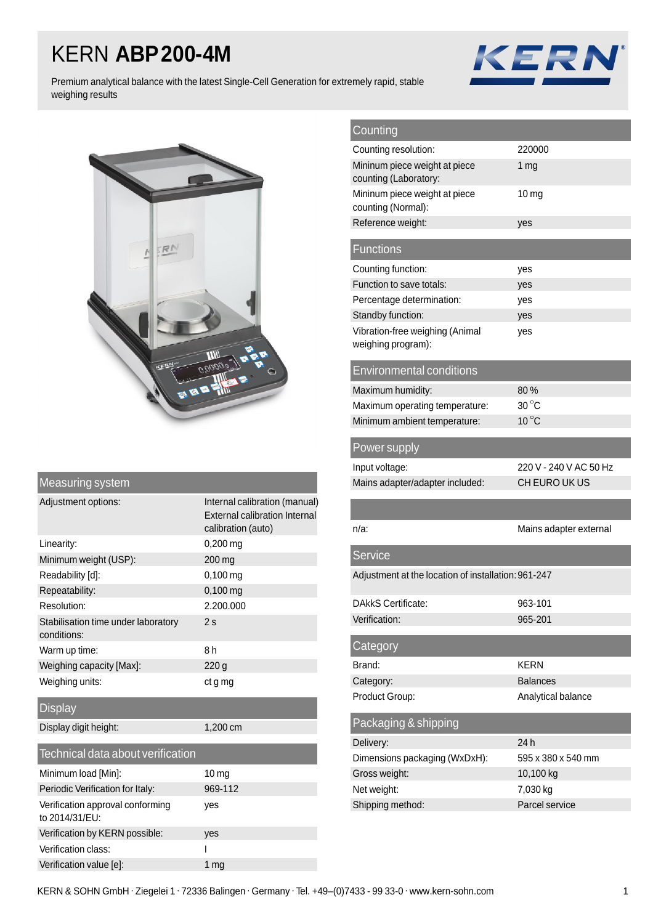## KERN **ABP200-4M**



Premium analytical balance with the latest Single-Cell Generation for extremely rapid, stable weighing results



|  | Measuring system |  |
|--|------------------|--|
|  |                  |  |

| Adjustment options:                                | Internal calibration (manual)<br>External calibration Internal<br>calibration (auto) |
|----------------------------------------------------|--------------------------------------------------------------------------------------|
| Linearity:                                         | 0,200 mg                                                                             |
| Minimum weight (USP):                              | 200 mg                                                                               |
| Readability [d]:                                   | $0,100$ mg                                                                           |
| Repeatability:                                     | $0,100$ mg                                                                           |
| Resolution:                                        | 2.200.000                                                                            |
| Stabilisation time under laboratory<br>conditions: | 2s                                                                                   |
| Warm up time:                                      | 8 h                                                                                  |
| Weighing capacity [Max]:                           | 220 <sub>g</sub>                                                                     |
| Weighing units:                                    | ct g mg                                                                              |
| <b>Display</b>                                     |                                                                                      |
| Display digit height:                              | 1,200 cm                                                                             |
| Technical data about verification                  |                                                                                      |
| Minimum load [Min]:                                | 10 mg                                                                                |
| Periodic Verification for Italy:                   | 969-112                                                                              |
| Verification approval conforming<br>to 2014/31/EU: | ves                                                                                  |
| Verification by KERN possible:                     | yes                                                                                  |

Verification class: I Verification value [e]: 1 mg

| Counting                                               |                        |
|--------------------------------------------------------|------------------------|
| Counting resolution:                                   | 220000                 |
| Mininum piece weight at piece<br>counting (Laboratory: | 1 mg                   |
| Mininum piece weight at piece                          | 10 <sub>mg</sub>       |
| counting (Normal):                                     |                        |
| Reference weight:                                      | yes                    |
| <b>Functions</b>                                       |                        |
| Counting function:                                     | yes                    |
| Function to save totals:                               | yes                    |
| Percentage determination:                              | yes                    |
| Standby function:                                      | yes                    |
| Vibration-free weighing (Animal<br>weighing program):  | yes                    |
| <b>Environmental conditions</b>                        |                        |
| Maximum humidity:                                      | 80%                    |
| Maximum operating temperature:                         | $30^{\circ}$ C         |
| Minimum ambient temperature:                           | $10^{\circ}$ C         |
| Power supply                                           |                        |
| Input voltage:                                         | 220 V - 240 V AC 50 Hz |
| Mains adapter/adapter included:                        | CH EURO UK US          |
|                                                        |                        |
| $n/a$ :                                                | Mains adapter external |
| <b>Service</b>                                         |                        |
| Adjustment at the location of installation: 961-247    |                        |
|                                                        |                        |
| <b>DAkkS Certificate:</b>                              | 963-101                |
| Verification:                                          | 965-201                |
| Category                                               |                        |
| Brand:                                                 | <b>KERN</b>            |
| Category:                                              | <b>Balances</b>        |
| Product Group:                                         | Analytical balance     |
| Packaging & shipping                                   |                        |
| Delivery:                                              | 24 h                   |
| Dimensions packaging (WxDxH):                          | 595 x 380 x 540 mm     |
| Gross weight:                                          | 10,100 kg              |
| Net weight:<br>Shipping method:                        | 7,030 kg               |